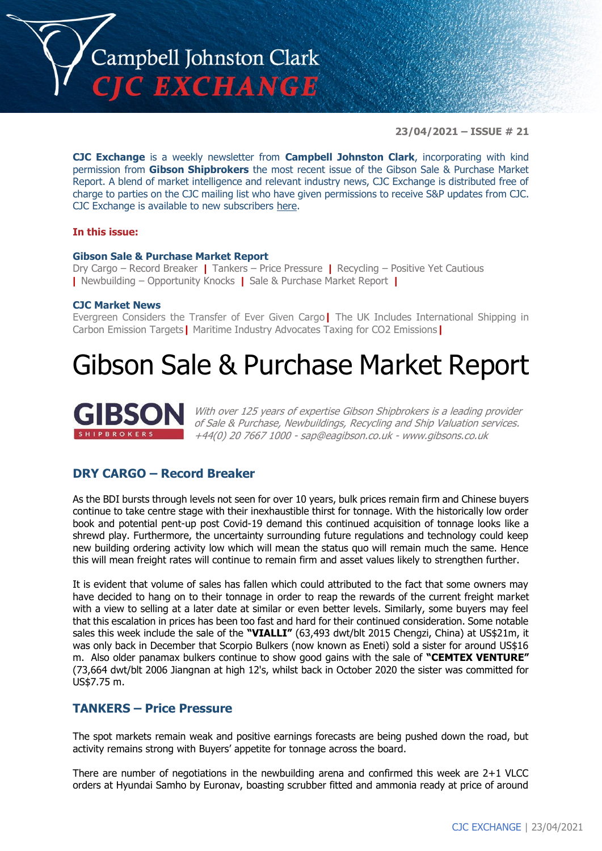

**23/04/2021 – ISSUE # 21**

**CJC Exchange** is a weekly newsletter from **Campbell Johnston Clark**, incorporating with kind permission from **Gibson Shipbrokers** the most recent issue of the Gibson Sale & Purchase Market Report. A blend of market intelligence and relevant industry news, CJC Exchange is distributed free of charge to parties on the CJC mailing list who have given permissions to receive S&P updates from CJC. CJC Exchange is available to new subscribers [here.](mailto:jamesc@cjclaw.com?subject=CJC%20Exchange%20sign-up)

#### **In this issue:**

#### **Gibson Sale & Purchase Market Report**

Dry Cargo – Record Breaker **|** Tankers – Price Pressure **|** Recycling – Positive Yet Cautious **|** Newbuilding – Opportunity Knocks **|** Sale & Purchase Market Report **|**

#### **CJC Market News**

Evergreen Considers the Transfer of Ever Given Cargo**|** The UK Includes International Shipping in Carbon Emission Targets**|** Maritime Industry Advocates Taxing for CO2 Emissions**|**

## Gibson Sale & Purchase Market Report



With over 125 years of expertise Gibson Shipbrokers is a leading provider of Sale & Purchase, Newbuildings, Recycling and Ship Valuation services. +44(0) 20 7667 1000 - [sap@eagibson.co.uk](mailto:sap@eagibson.co.uk) - [www.gibsons.co.uk](https://protect-eu.mimecast.com/s/VO6nCGZzRS60KqcK1jQh/)

#### **DRY CARGO – Record Breaker**

As the BDI bursts through levels not seen for over 10 years, bulk prices remain firm and Chinese buyers continue to take centre stage with their inexhaustible thirst for tonnage. With the historically low order book and potential pent-up post Covid-19 demand this continued acquisition of tonnage looks like a shrewd play. Furthermore, the uncertainty surrounding future regulations and technology could keep new building ordering activity low which will mean the status quo will remain much the same. Hence this will mean freight rates will continue to remain firm and asset values likely to strengthen further.

It is evident that volume of sales has fallen which could attributed to the fact that some owners may have decided to hang on to their tonnage in order to reap the rewards of the current freight market with a view to selling at a later date at similar or even better levels. Similarly, some buyers may feel that this escalation in prices has been too fast and hard for their continued consideration. Some notable sales this week include the sale of the **"VIALLI"** (63,493 dwt/blt 2015 Chengzi, China) at US\$21m, it was only back in December that Scorpio Bulkers (now known as Eneti) sold a sister for around US\$16 m. Also older panamax bulkers continue to show good gains with the sale of **"CEMTEX VENTURE"** (73,664 dwt/blt 2006 Jiangnan at high 12's, whilst back in October 2020 the sister was committed for US\$7.75 m.

#### **TANKERS – Price Pressure**

The spot markets remain weak and positive earnings forecasts are being pushed down the road, but activity remains strong with Buyers' appetite for tonnage across the board.

There are number of negotiations in the newbuilding arena and confirmed this week are 2+1 VLCC orders at Hyundai Samho by Euronav, boasting scrubber fitted and ammonia ready at price of around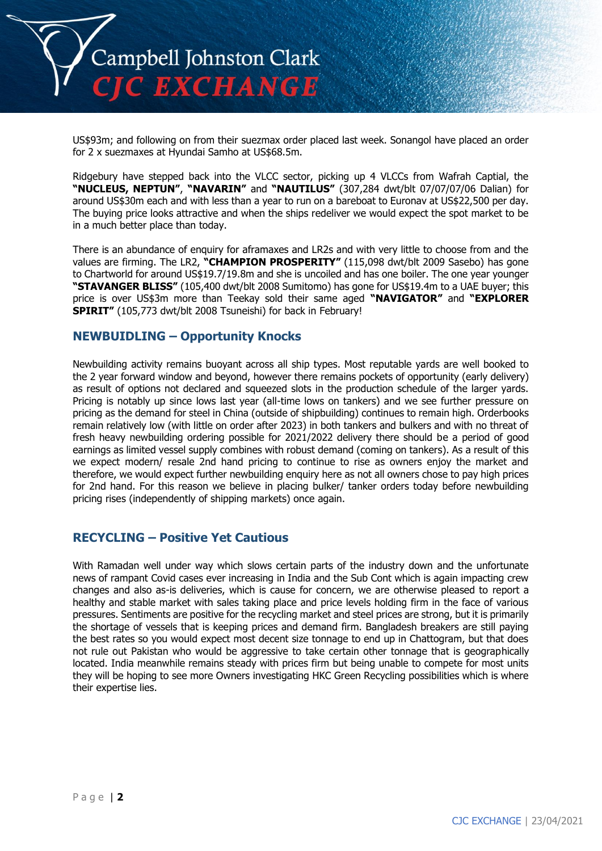

US\$93m; and following on from their suezmax order placed last week. Sonangol have placed an order for 2 x suezmaxes at Hyundai Samho at US\$68.5m.

Ridgebury have stepped back into the VLCC sector, picking up 4 VLCCs from Wafrah Captial, the **"NUCLEUS, NEPTUN"**, **"NAVARIN"** and **"NAUTILUS"** (307,284 dwt/blt 07/07/07/06 Dalian) for around US\$30m each and with less than a year to run on a bareboat to Euronav at US\$22,500 per day. The buying price looks attractive and when the ships redeliver we would expect the spot market to be in a much better place than today.

There is an abundance of enquiry for aframaxes and LR2s and with very little to choose from and the values are firming. The LR2, **"CHAMPION PROSPERITY"** (115,098 dwt/blt 2009 Sasebo) has gone to Chartworld for around US\$19.7/19.8m and she is uncoiled and has one boiler. The one year younger **"STAVANGER BLISS"** (105,400 dwt/blt 2008 Sumitomo) has gone for US\$19.4m to a UAE buyer; this price is over US\$3m more than Teekay sold their same aged **"NAVIGATOR"** and **"EXPLORER SPIRIT"** (105,773 dwt/blt 2008 Tsuneishi) for back in February!

#### **NEWBUIDLING – Opportunity Knocks**

Newbuilding activity remains buoyant across all ship types. Most reputable yards are well booked to the 2 year forward window and beyond, however there remains pockets of opportunity (early delivery) as result of options not declared and squeezed slots in the production schedule of the larger yards. Pricing is notably up since lows last year (all-time lows on tankers) and we see further pressure on pricing as the demand for steel in China (outside of shipbuilding) continues to remain high. Orderbooks remain relatively low (with little on order after 2023) in both tankers and bulkers and with no threat of fresh heavy newbuilding ordering possible for 2021/2022 delivery there should be a period of good earnings as limited vessel supply combines with robust demand (coming on tankers). As a result of this we expect modern/ resale 2nd hand pricing to continue to rise as owners enjoy the market and therefore, we would expect further newbuilding enquiry here as not all owners chose to pay high prices for 2nd hand. For this reason we believe in placing bulker/ tanker orders today before newbuilding pricing rises (independently of shipping markets) once again.

#### **RECYCLING – Positive Yet Cautious**

With Ramadan well under way which slows certain parts of the industry down and the unfortunate news of rampant Covid cases ever increasing in India and the Sub Cont which is again impacting crew changes and also as-is deliveries, which is cause for concern, we are otherwise pleased to report a healthy and stable market with sales taking place and price levels holding firm in the face of various pressures. Sentiments are positive for the recycling market and steel prices are strong, but it is primarily the shortage of vessels that is keeping prices and demand firm. Bangladesh breakers are still paying the best rates so you would expect most decent size tonnage to end up in Chattogram, but that does not rule out Pakistan who would be aggressive to take certain other tonnage that is geographically located. India meanwhile remains steady with prices firm but being unable to compete for most units they will be hoping to see more Owners investigating HKC Green Recycling possibilities which is where their expertise lies.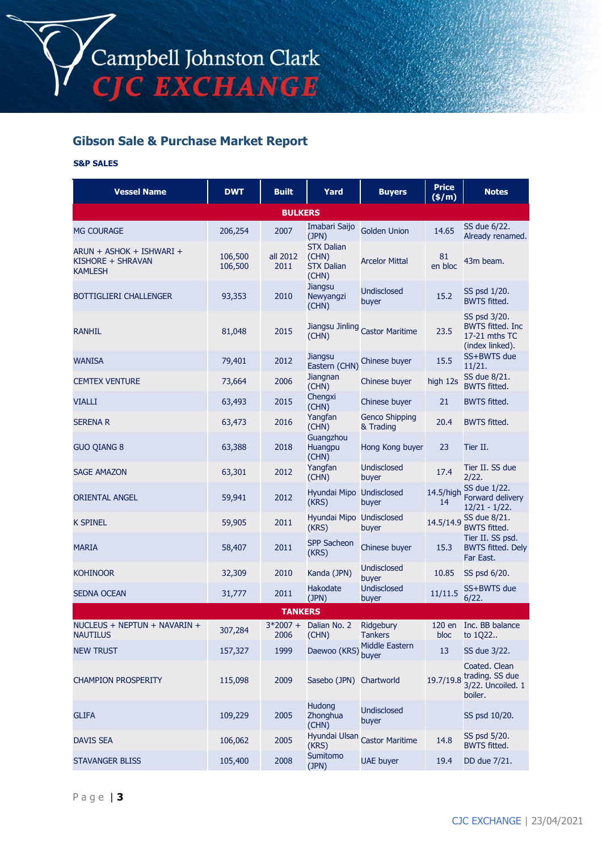### **Gibson Sale & Purchase Market Report**

#### **S&P SALES**

| <b>Vessel Name</b>                                              | <b>DWT</b>         | <b>Built</b>     | Yard                                                     | <b>Buyers</b>                      | <b>Price</b><br>(\$/m) | <b>Notes</b>                                                                |  |
|-----------------------------------------------------------------|--------------------|------------------|----------------------------------------------------------|------------------------------------|------------------------|-----------------------------------------------------------------------------|--|
| <b>BULKERS</b>                                                  |                    |                  |                                                          |                                    |                        |                                                                             |  |
| <b>MG COURAGE</b>                                               | 206,254            | 2007             | Imabari Saijo<br>(JPN)                                   | <b>Golden Union</b>                | 14.65                  | SS due 6/22.<br>Already renamed.                                            |  |
| ARUN + ASHOK + ISHWARI +<br>KISHORE + SHRAVAN<br><b>KAMLESH</b> | 106,500<br>106,500 | all 2012<br>2011 | <b>STX Dalian</b><br>(CHN)<br><b>STX Dalian</b><br>(CHN) | <b>Arcelor Mittal</b>              | 81<br>en bloc          | 43m beam.                                                                   |  |
| <b>BOTTIGLIERI CHALLENGER</b>                                   | 93,353             | 2010             | <b>Jiangsu</b><br>Newyangzi<br>(CHN)                     | <b>Undisclosed</b><br>buyer        | 15.2                   | SS psd 1/20.<br><b>BWTS fitted.</b>                                         |  |
| <b>RANHIL</b>                                                   | 81,048             | 2015             | (CHN)                                                    | Jiangsu Jinling Castor Maritime    | 23.5                   | SS psd 3/20.<br><b>BWTS fitted. Inc</b><br>17-21 mths TC<br>(index linked). |  |
| <b>WANISA</b>                                                   | 79,401             | 2012             | Jiangsu<br>Eastern (CHN)                                 | Chinese buyer                      | 15.5                   | SS+BWTS due<br>11/21.                                                       |  |
| <b>CEMTEX VENTURE</b>                                           | 73,664             | 2006             | Jiangnan<br>(CHN)                                        | Chinese buyer                      | high 12s               | SS due 8/21.<br><b>BWTS fitted.</b>                                         |  |
| <b>VIALLI</b>                                                   | 63,493             | 2015             | Chengxi<br>(CHN)                                         | Chinese buyer                      | 21                     | <b>BWTS fitted.</b>                                                         |  |
| <b>SERENA R</b>                                                 | 63,473             | 2016             | Yangfan<br>(CHN)                                         | <b>Genco Shipping</b><br>& Trading | 20.4                   | <b>BWTS fitted.</b>                                                         |  |
| <b>GUO QIANG 8</b>                                              | 63,388             | 2018             | Guangzhou<br>Huangpu<br>(CHN)                            | Hong Kong buyer                    | 23                     | Tier II.                                                                    |  |
| <b>SAGE AMAZON</b>                                              | 63,301             | 2012             | Yangfan<br>(CHN)                                         | <b>Undisclosed</b><br>buyer        | 17.4                   | Tier II. SS due<br>2/22.                                                    |  |
| <b>ORIENTAL ANGEL</b>                                           | 59,941             | 2012             | Hyundai Mipo Undisclosed<br>(KRS)                        | buyer                              | 14.5/high<br>14        | SS due 1/22.<br>Forward delivery<br>$12/21 - 1/22$ .                        |  |
| <b>K SPINEL</b>                                                 | 59,905             | 2011             | Hyundai Mipo Undisclosed<br>(KRS)                        | buyer                              | 14.5/14.9              | SS due 8/21.<br><b>BWTS fitted.</b>                                         |  |
| <b>MARIA</b>                                                    | 58,407             | 2011             | <b>SPP Sacheon</b><br>(KRS)                              | Chinese buyer                      | 15.3                   | Tier II. SS psd.<br><b>BWTS fitted. Dely</b><br>Far East.                   |  |
| <b>KOHINOOR</b>                                                 | 32,309             | 2010             | Kanda (JPN)                                              | <b>Undisclosed</b><br>buyer        | 10.85                  | SS psd 6/20.                                                                |  |
| <b>SEDNA OCEAN</b>                                              | 31,777             | 2011             | Hakodate<br>(JPN)                                        | <b>Undisclosed</b><br>buyer        | 11/11.5                | SS+BWTS due<br>6/22.                                                        |  |
|                                                                 |                    | <b>TANKERS</b>   |                                                          |                                    |                        |                                                                             |  |
| NUCLEUS + NEPTUN + NAVARIN +<br><b>NAUTILUS</b>                 | 307,284            | 2006             | 3*2007 + Dalian No. 2<br>(CHN)                           | Ridgebury<br><b>Tankers</b>        | bloc                   | 120 en Inc. BB balance<br>to 1Q22                                           |  |
| <b>NEW TRUST</b>                                                | 157,327            | 1999             | Daewoo (KRS)                                             | Middle Eastern<br>buyer            | 13                     | SS due 3/22.                                                                |  |
| <b>CHAMPION PROSPERITY</b>                                      | 115,098            | 2009             | Sasebo (JPN) Chartworld                                  |                                    | 19.7/19.8              | Coated. Clean<br>trading. SS due<br>3/22. Uncoiled. 1<br>boiler.            |  |
| <b>GLIFA</b>                                                    | 109,229            | 2005             | <b>Hudong</b><br>Zhonghua<br>(CHN)                       | <b>Undisclosed</b><br>buyer        |                        | SS psd 10/20.                                                               |  |
| <b>DAVIS SEA</b>                                                | 106,062            | 2005             | Hyundai Ulsan<br>(KRS)                                   | <b>Castor Maritime</b>             | 14.8                   | SS psd 5/20.<br><b>BWTS fitted.</b>                                         |  |
| <b>STAVANGER BLISS</b>                                          | 105,400            | 2008             | Sumitomo<br>(JPN)                                        | <b>UAE buyer</b>                   | 19.4                   | DD due 7/21.                                                                |  |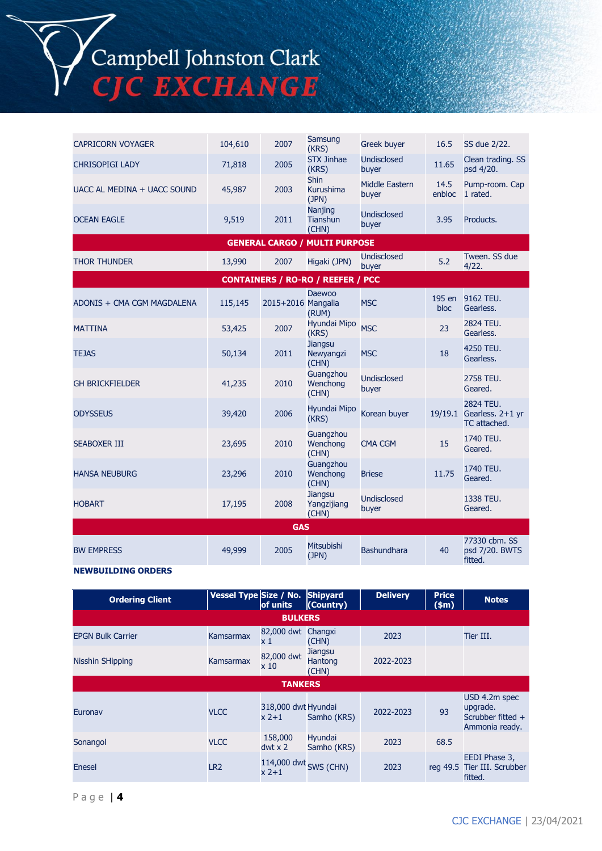Campbell Johnston Clark<br>CJC EXCHANGE

|                             |         |                    | Samsung                                  |                             |                |                                                       |  |
|-----------------------------|---------|--------------------|------------------------------------------|-----------------------------|----------------|-------------------------------------------------------|--|
| <b>CAPRICORN VOYAGER</b>    | 104,610 | 2007               | (KRS)                                    | <b>Greek buyer</b>          | 16.5           | SS due 2/22.                                          |  |
| <b>CHRISOPIGI LADY</b>      | 71,818  | 2005               | <b>STX Jinhae</b><br>(KRS)               | Undisclosed<br>buyer        | 11.65          | Clean trading. SS<br>psd 4/20.                        |  |
| UACC AL MEDINA + UACC SOUND | 45,987  | 2003               | <b>Shin</b><br><b>Kurushima</b><br>(JPN) | Middle Eastern<br>buyer     | 14.5<br>enbloc | Pump-room. Cap<br>1 rated.                            |  |
| <b>OCEAN EAGLE</b>          | 9,519   | 2011               | Nanjing<br><b>Tianshun</b><br>(CHN)      | Undisclosed<br>buyer        | 3.95           | Products.                                             |  |
|                             |         |                    | <b>GENERAL CARGO / MULTI PURPOSE</b>     |                             |                |                                                       |  |
| <b>THOR THUNDER</b>         | 13,990  | 2007               | Higaki (JPN)                             | <b>Undisclosed</b><br>buyer | 5.2            | Tween. SS due<br>4/22.                                |  |
|                             |         |                    | <b>CONTAINERS / RO-RO / REEFER / PCC</b> |                             |                |                                                       |  |
| ADONIS + CMA CGM MAGDALENA  | 115,145 | 2015+2016 Mangalia | <b>Daewoo</b><br>(RUM)                   | <b>MSC</b>                  | 195 en<br>bloc | 9162 TEU.<br>Gearless.                                |  |
| <b>MATTINA</b>              | 53,425  | 2007               | Hyundai Mipo<br>(KRS)                    | <b>MSC</b>                  | 23             | 2824 TEU.<br>Gearless.                                |  |
| <b>TEJAS</b>                | 50,134  | 2011               | <b>Jiangsu</b><br>Newyangzi<br>(CHN)     | <b>MSC</b>                  | 18             | 4250 TEU.<br>Gearless.                                |  |
| <b>GH BRICKFIELDER</b>      | 41,235  | 2010               | Guangzhou<br>Wenchong<br>(CHN)           | <b>Undisclosed</b><br>buyer |                | 2758 TEU.<br>Geared.                                  |  |
| <b>ODYSSEUS</b>             | 39,420  | 2006               | <b>Hyundai Mipo</b><br>(KRS)             | Korean buyer                |                | 2824 TEU.<br>19/19.1 Gearless. 2+1 yr<br>TC attached. |  |
| <b>SEABOXER III</b>         | 23,695  | 2010               | Guangzhou<br>Wenchong<br>(CHN)           | <b>CMA CGM</b>              | 15             | 1740 TEU.<br>Geared.                                  |  |
| <b>HANSA NEUBURG</b>        | 23,296  | 2010               | Guangzhou<br>Wenchong<br>(CHN)           | <b>Briese</b>               | 11.75          | 1740 TEU.<br>Geared.                                  |  |
| <b>HOBART</b>               | 17,195  | 2008               | <b>Jiangsu</b><br>Yangzijiang<br>(CHN)   | <b>Undisclosed</b><br>buyer |                | 1338 TEU.<br>Geared.                                  |  |
| <b>GAS</b>                  |         |                    |                                          |                             |                |                                                       |  |
| <b>BW EMPRESS</b>           | 49,999  | 2005               | Mitsubishi<br>(JPN)                      | <b>Bashundhara</b>          | 40             | 77330 cbm. SS<br>psd 7/20. BWTS<br>fitted.            |  |

#### **NEWBUILDING ORDERS**

| <b>Ordering Client</b>   | Vessel Type Size / No. | of units                        | Shipyard<br>(Country)       | <b>Delivery</b> | <b>Price</b><br>\$m\$ | <b>Notes</b>                                                     |
|--------------------------|------------------------|---------------------------------|-----------------------------|-----------------|-----------------------|------------------------------------------------------------------|
|                          |                        | <b>BULKERS</b>                  |                             |                 |                       |                                                                  |
| <b>EPGN Bulk Carrier</b> | Kamsarmax              | 82,000 dwt<br>$\times 1$        | Changxi<br>(CHN)            | 2023            |                       | Tier III.                                                        |
| <b>Nisshin SHipping</b>  | Kamsarmax              | 82,000 dwt<br>x10               | Jiangsu<br>Hantong<br>(CHN) | 2022-2023       |                       |                                                                  |
| <b>TANKERS</b>           |                        |                                 |                             |                 |                       |                                                                  |
| Euronav                  | <b>VLCC</b>            | 318,000 dwt Hyundai<br>$x$ 2+1  | Samho (KRS)                 | 2022-2023       | 93                    | USD 4.2m spec<br>upgrade.<br>Scrubber fitted +<br>Ammonia ready. |
| Sonangol                 | <b>VLCC</b>            | 158,000<br>$dwt \times 2$       | Hyundai<br>Samho (KRS)      | 2023            | 68.5                  |                                                                  |
| Enesel                   | LR <sub>2</sub>        | 114,000 dwt SWS (CHN)<br>$x2+1$ |                             | 2023            | reg 49.5              | EEDI Phase 3,<br>Tier III. Scrubber<br>fitted.                   |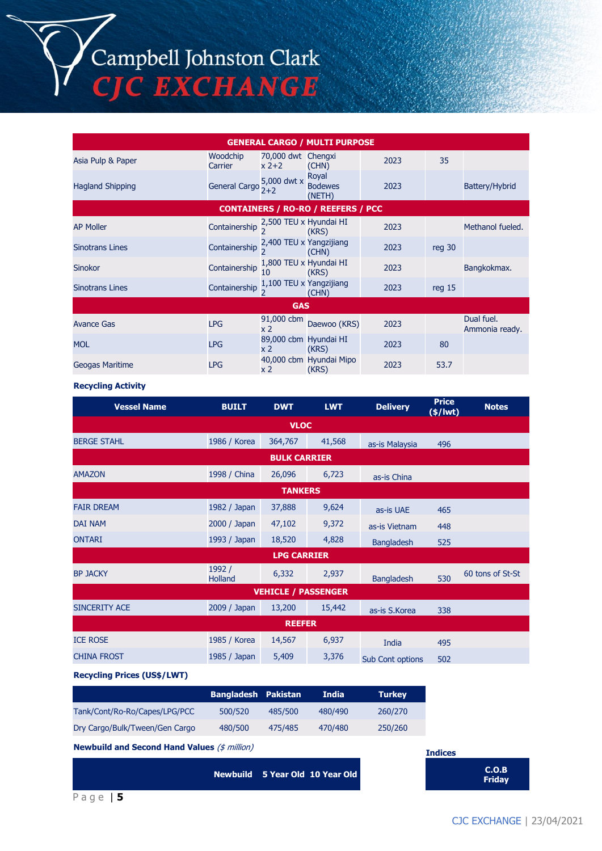Campbell Johnston Clark<br>CJC EXCHANGE

| <b>GENERAL CARGO / MULTI PURPOSE</b>      |                      |                                         |                                   |      |                   |                              |  |
|-------------------------------------------|----------------------|-----------------------------------------|-----------------------------------|------|-------------------|------------------------------|--|
| Asia Pulp & Paper                         | Woodchip<br>Carrier  | 70,000 dwt Chengxi<br>$x^2+2$           | (CHN)                             | 2023 | 35                |                              |  |
| <b>Hagland Shipping</b>                   | <b>General Cargo</b> | 5,000 dwt x<br>$2+2$                    | Royal<br><b>Bodewes</b><br>(NETH) | 2023 |                   | Battery/Hybrid               |  |
| <b>CONTAINERS / RO-RO / REEFERS / PCC</b> |                      |                                         |                                   |      |                   |                              |  |
| <b>AP Moller</b>                          | Containership        | 2,500 TEU x Hyundai HI                  | (KRS)                             | 2023 |                   | Methanol fueled.             |  |
| <b>Sinotrans Lines</b>                    | Containership        | 2,400 TEU x Yangzijiang                 | (CHN)                             | 2023 | reg 30            |                              |  |
| <b>Sinokor</b>                            | Containership        | 1,800 TEU x Hyundai HI<br>10            | (KRS)                             | 2023 |                   | Bangkokmax.                  |  |
| <b>Sinotrans Lines</b>                    | Containership        | 1,100 TEU x Yangzijiang                 | (CHN)                             | 2023 | req <sub>15</sub> |                              |  |
| <b>GAS</b>                                |                      |                                         |                                   |      |                   |                              |  |
| <b>Avance Gas</b>                         | <b>LPG</b>           | 91,000 cbm<br>x 2                       | Daewoo (KRS)                      | 2023 |                   | Dual fuel.<br>Ammonia ready. |  |
| <b>MOL</b>                                | <b>LPG</b>           | 89,000 cbm Hyundai HI<br>x <sub>2</sub> | (KRS)                             | 2023 | 80                |                              |  |
| <b>Geogas Maritime</b>                    | <b>LPG</b>           | x 2                                     | 40,000 cbm Hyundai Mipo<br>(KRS)  | 2023 | 53.7              |                              |  |

#### **Recycling Activity**

| <b>BUILT</b>               | <b>DWT</b> | <b>LWT</b> | <b>Delivery</b>   | <b>Price</b><br>$(*)$ lwt) | <b>Notes</b>     |  |  |  |
|----------------------------|------------|------------|-------------------|----------------------------|------------------|--|--|--|
| <b>VLOC</b>                |            |            |                   |                            |                  |  |  |  |
| 1986 / Korea               | 364,767    | 41,568     | as-is Malaysia    | 496                        |                  |  |  |  |
| <b>BULK CARRIER</b>        |            |            |                   |                            |                  |  |  |  |
| 1998 / China               | 26,096     | 6,723      | as-is China       |                            |                  |  |  |  |
|                            |            |            |                   |                            |                  |  |  |  |
| 1982 / Japan               | 37,888     | 9,624      | as-is UAE         | 465                        |                  |  |  |  |
| 2000 / Japan               | 47,102     | 9,372      | as-is Vietnam     | 448                        |                  |  |  |  |
| 1993 / Japan               | 18,520     | 4,828      | <b>Bangladesh</b> | 525                        |                  |  |  |  |
| <b>LPG CARRIER</b>         |            |            |                   |                            |                  |  |  |  |
| 1992 /<br><b>Holland</b>   | 6,332      | 2,937      | <b>Bangladesh</b> | 530                        | 60 tons of St-St |  |  |  |
| <b>VEHICLE / PASSENGER</b> |            |            |                   |                            |                  |  |  |  |
| 2009 / Japan               | 13,200     | 15,442     | as-is S.Korea     | 338                        |                  |  |  |  |
| <b>REEFER</b>              |            |            |                   |                            |                  |  |  |  |
| 1985 / Korea               | 14,567     | 6,937      | India             | 495                        |                  |  |  |  |
| 1985 / Japan               | 5,409      | 3,376      | Sub Cont options  | 502                        |                  |  |  |  |
|                            |            |            | <b>TANKERS</b>    |                            |                  |  |  |  |

**Recycling Prices (US\$/LWT)**

|                                | <b>Bangladesh Pakistan</b> |         | <b>India</b> | <b>Turkey</b> |
|--------------------------------|----------------------------|---------|--------------|---------------|
| Tank/Cont/Ro-Ro/Capes/LPG/PCC  | 500/520                    | 485/500 | 480/490      | 260/270       |
| Dry Cargo/Bulk/Tween/Gen Cargo | 480/500                    | 475/485 | 470/480      | 250/260       |

**Newbuild and Second Hand Values** (\$ million)

**Newbuild 5 Year Old 10 Year Old C.O.B** 

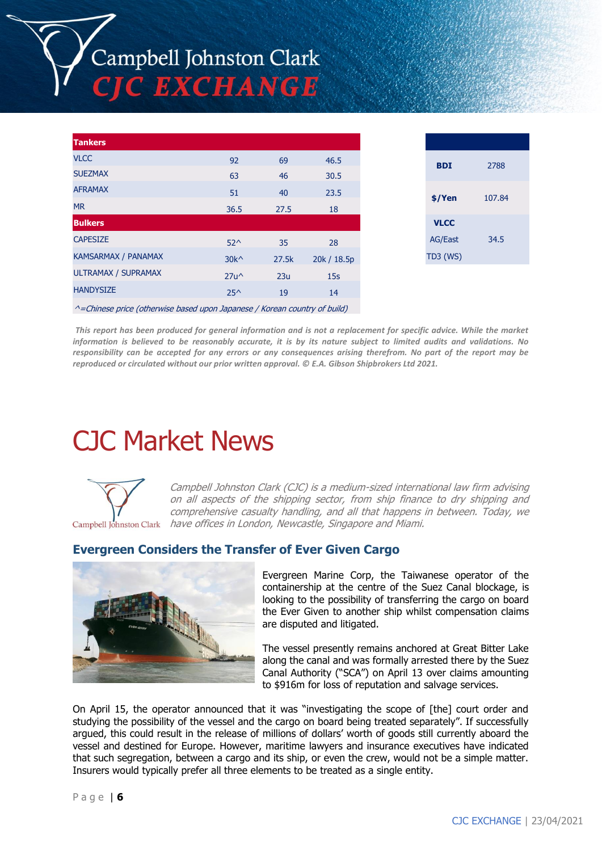# Campbell Johnston Clark **TIC EXCHANGE**

| <b>Tankers</b>             |                |       |             |
|----------------------------|----------------|-------|-------------|
| <b>VLCC</b>                | 92             | 69    | 46.5        |
| <b>SUEZMAX</b>             | 63             | 46    | 30.5        |
| <b>AFRAMAX</b>             | 51             | 40    | 23.5        |
| <b>MR</b>                  | 36.5           | 27.5  | 18          |
| <b>Bulkers</b>             |                |       |             |
| <b>CAPESIZE</b>            | $52^{\wedge}$  | 35    | 28          |
| <b>KAMSARMAX / PANAMAX</b> | $30k^{\wedge}$ | 27.5k | 20k / 18.5p |
| <b>ULTRAMAX / SUPRAMAX</b> | $27u^{\wedge}$ | 23u   | 15s         |
| <b>HANDYSIZE</b>           | $25^{\wedge}$  | 19    | 14          |
|                            |                |       |             |

| <b>BDI</b>      | 2788   |
|-----------------|--------|
| \$/Yen          | 107.84 |
| <b>VLCC</b>     |        |
| <b>AG/East</b>  | 34.5   |
| <b>TD3 (WS)</b> |        |
|                 |        |

 $^{\wedge}$ =Chinese price (otherwise based upon Japanese / Korean country of build)

*This report has been produced for general information and is not a replacement for specific advice. While the market information is believed to be reasonably accurate, it is by its nature subject to limited audits and validations. No responsibility can be accepted for any errors or any consequences arising therefrom. No part of the report may be reproduced or circulated without our prior written approval. © E.A. Gibson Shipbrokers Ltd 2021.*

## CJC Market News



Campbell Johnston Clark (CJC) is a medium-sized international law firm advising on all aspects of the shipping sector, from ship finance to dry shipping and comprehensive casualty handling, and all that happens in between. Today, we have offices in London, Newcastle, Singapore and Miami.

#### **Evergreen Considers the Transfer of Ever Given Cargo**



Evergreen Marine Corp, the Taiwanese operator of the containership at the centre of the Suez Canal blockage, is looking to the possibility of transferring the cargo on board the Ever Given to another ship whilst compensation claims are disputed and litigated.

The vessel presently remains anchored at Great Bitter Lake along the canal and was formally arrested there by the Suez Canal Authority ("SCA") on April 13 over claims amounting to \$916m for loss of reputation and salvage services.

On April 15, the operator announced that it was "investigating the scope of [the] court order and studying the possibility of the vessel and the cargo on board being treated separately". If successfully argued, this could result in the release of millions of dollars' worth of goods still currently aboard the vessel and destined for Europe. However, maritime lawyers and insurance executives have indicated that such segregation, between a cargo and its ship, or even the crew, would not be a simple matter. Insurers would typically prefer all three elements to be treated as a single entity.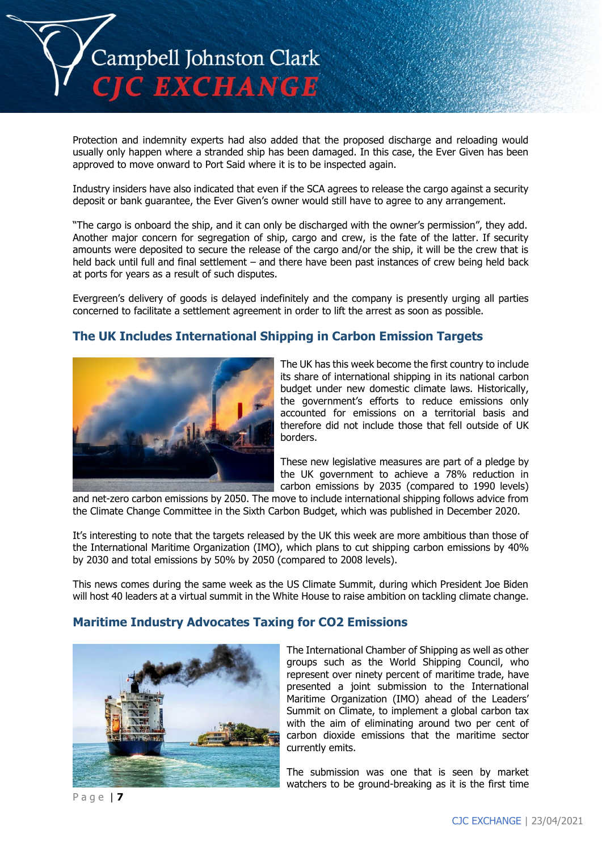

Protection and indemnity experts had also added that the proposed discharge and reloading would usually only happen where a stranded ship has been damaged. In this case, the Ever Given has been approved to move onward to Port Said where it is to be inspected again.

Industry insiders have also indicated that even if the SCA agrees to release the cargo against a security deposit or bank guarantee, the Ever Given's owner would still have to agree to any arrangement.

"The cargo is onboard the ship, and it can only be discharged with the owner's permission", they add. Another major concern for segregation of ship, cargo and crew, is the fate of the latter. If security amounts were deposited to secure the release of the cargo and/or the ship, it will be the crew that is held back until full and final settlement – and there have been past instances of crew being held back at ports for years as a result of such disputes.

Evergreen's delivery of goods is delayed indefinitely and the company is presently urging all parties concerned to facilitate a settlement agreement in order to lift the arrest as soon as possible.

#### **The UK Includes International Shipping in Carbon Emission Targets**



The UK has this week become the first country to include its share of international shipping in its national carbon budget under new domestic climate laws. Historically, the government's efforts to reduce emissions only accounted for emissions on a territorial basis and therefore did not include those that fell outside of UK borders.

These new legislative measures are part of a pledge by the UK government to achieve a 78% reduction in carbon emissions by 2035 (compared to 1990 levels)

and net-zero carbon emissions by 2050. The move to include international shipping follows advice from the Climate Change Committee in the Sixth Carbon Budget, which was published in December 2020.

It's interesting to note that the targets released by the UK this week are more ambitious than those of the International Maritime Organization (IMO), which plans to cut shipping carbon emissions by 40% by 2030 and total emissions by 50% by 2050 (compared to 2008 levels).

This news comes during the same week as the US Climate Summit, during which President Joe Biden will host 40 leaders at a virtual summit in the White House to raise ambition on tackling climate change.

#### **Maritime Industry Advocates Taxing for CO2 Emissions**



The International Chamber of Shipping as well as other groups such as the World Shipping Council, who represent over ninety percent of maritime trade, have presented a joint submission to the International Maritime Organization (IMO) ahead of the Leaders' Summit on Climate, to implement a global carbon tax with the aim of eliminating around two per cent of carbon dioxide emissions that the maritime sector currently emits.

The submission was one that is seen by market watchers to be ground-breaking as it is the first time

P a g e | **7**